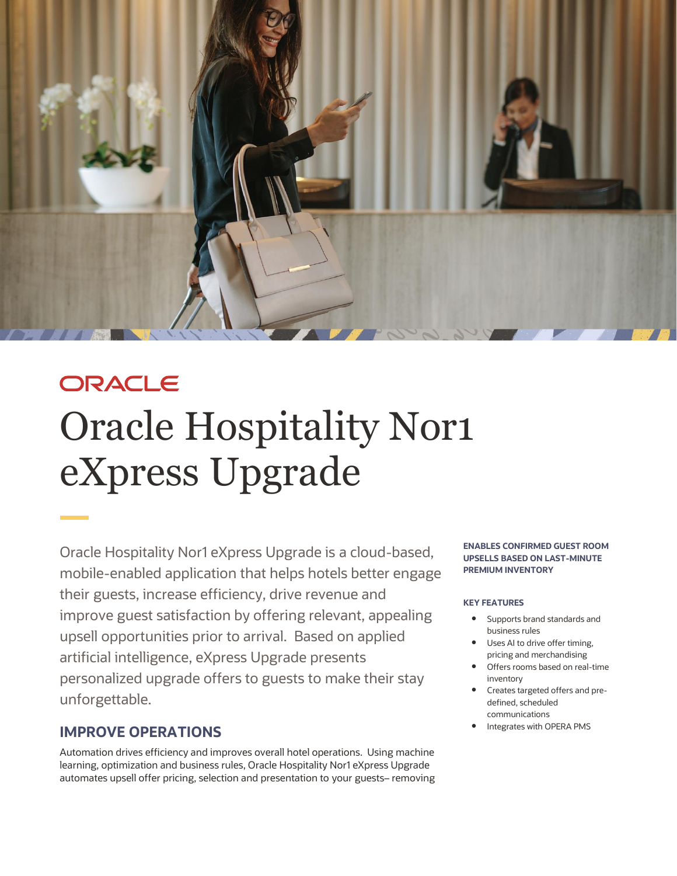

# ORACLE Oracle Hospitality Nor1 eXpress Upgrade

Oracle Hospitality Nor1 eXpress Upgrade is a cloud-based, mobile-enabled application that helps hotels better engage their guests, increase efficiency, drive revenue and improve guest satisfaction by offering relevant, appealing upsell opportunities prior to arrival. Based on applied artificial intelligence, eXpress Upgrade presents personalized upgrade offers to guests to make their stay unforgettable.

# **IMPROVE OPERATIONS**

Automation drives efficiency and improves overall hotel operations. Using machine learning, optimization and business rules, Oracle Hospitality Nor1 eXpress Upgrade automates upsell offer pricing, selection and presentation to your guests– removing

#### **ENABLES CONFIRMED GUEST ROOM UPSELLS BASED ON LAST-MINUTE PREMIUM INVENTORY**

### **KEY FEATURES**

- Supports brand standards and business rules
- Uses AI to drive offer timing, pricing and merchandising
- Offers rooms based on real-time inventory
- Creates targeted offers and predefined, scheduled communications
- Integrates with OPERA PMS